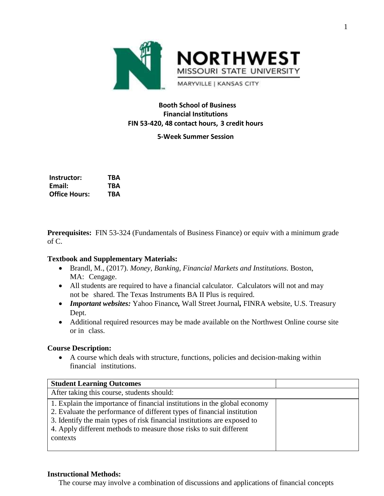

# **Booth School of Business Financial Institutions FIN 53-420, 48 contact hours, 3 credit hours**

**5-Week Summer Session**

| Instructor:          | TBA |
|----------------------|-----|
| Email:               | TRA |
| <b>Office Hours:</b> | TBA |

**Prerequisites:** FIN 53-324 (Fundamentals of Business Finance) or equiv with a minimum grade of C.

#### **Textbook and Supplementary Materials:**

- Brandl, M., (2017). *Money, Banking, Financial Markets and Institutions.* Boston, MA: Cengage.
- All students are required to have a financial calculator. Calculators will not and may not be shared. The Texas Instruments BA II Plus is required.
- *Important websites:* Yahoo Finance*,* Wall Street Journal*,* FINRA website, U.S. Treasury Dept.
- Additional required resources may be made available on the Northwest Online course site or in class.

#### **Course Description:**

 A course which deals with structure, functions, policies and decision-making within financial institutions.

| <b>Student Learning Outcomes</b>                                                                                                                                                                                                                                                                                    |  |
|---------------------------------------------------------------------------------------------------------------------------------------------------------------------------------------------------------------------------------------------------------------------------------------------------------------------|--|
| After taking this course, students should:                                                                                                                                                                                                                                                                          |  |
| 1. Explain the importance of financial institutions in the global economy<br>2. Evaluate the performance of different types of financial institution<br>3. Identify the main types of risk financial institutions are exposed to<br>4. Apply different methods to measure those risks to suit different<br>contexts |  |

#### **Instructional Methods:**

The course may involve a combination of discussions and applications of financial concepts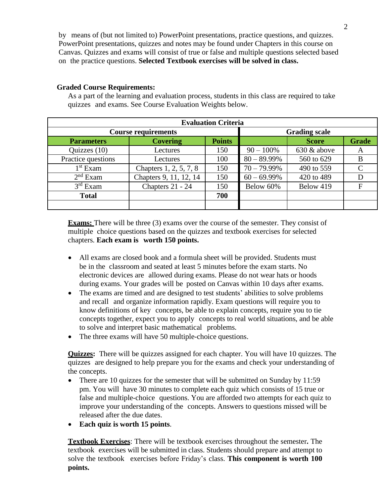by means of (but not limited to) PowerPoint presentations, practice questions, and quizzes. PowerPoint presentations, quizzes and notes may be found under Chapters in this course on Canvas. Quizzes and exams will consist of true or false and multiple questions selected based on the practice questions. **Selected Textbook exercises will be solved in class.**

### **Graded Course Requirements:**

As a part of the learning and evaluation process, students in this class are required to take quizzes and exams. See Course Evaluation Weights below.

| <b>Evaluation Criteria</b> |                        |                      |                |                |              |  |  |
|----------------------------|------------------------|----------------------|----------------|----------------|--------------|--|--|
| <b>Course requirements</b> |                        | <b>Grading scale</b> |                |                |              |  |  |
| <b>Parameters</b>          | <b>Covering</b>        | <b>Points</b>        |                | <b>Score</b>   | <b>Grade</b> |  |  |
| Quizzes $(10)$             | Lectures               | 150                  | $90 - 100\%$   | $630 \&$ above | A            |  |  |
| Practice questions         | Lectures               | 100                  | $80 - 89.99\%$ | 560 to 629     | B            |  |  |
| $1st$ Exam                 | Chapters 1, 2, 5, 7, 8 | 150                  | $70 - 79.99\%$ | 490 to 559     |              |  |  |
| $2nd$ Exam                 | Chapters 9, 11, 12, 14 | 150                  | $60 - 69.99\%$ | 420 to 489     |              |  |  |
| $3rd$ Exam                 | Chapters 21 - 24       | 150                  | Below 60%      | Below 419      |              |  |  |
| <b>Total</b>               |                        | 700                  |                |                |              |  |  |
|                            |                        |                      |                |                |              |  |  |

**Exams:** There will be three (3) exams over the course of the semester. They consist of multiple choice questions based on the quizzes and textbook exercises for selected chapters. **Each exam is worth 150 points.**

- All exams are closed book and a formula sheet will be provided. Students must be in the classroom and seated at least 5 minutes before the exam starts. No electronic devices are allowed during exams. Please do not wear hats or hoods during exams. Your grades will be posted on Canvas within 10 days after exams.
- The exams are timed and are designed to test students' abilities to solve problems and recall and organize information rapidly. Exam questions will require you to know definitions of key concepts, be able to explain concepts, require you to tie concepts together, expect you to apply concepts to real world situations, and be able to solve and interpret basic mathematical problems.
- The three exams will have 50 multiple-choice questions.

**Quizzes:** There will be quizzes assigned for each chapter. You will have 10 quizzes. The quizzes are designed to help prepare you for the exams and check your understanding of the concepts.

- There are 10 quizzes for the semester that will be submitted on Sunday by 11:59 pm. You will have 30 minutes to complete each quiz which consists of 15 true or false and multiple-choice questions. You are afforded two attempts for each quiz to improve your understanding of the concepts. Answers to questions missed will be released after the due dates.
- **Each quiz is worth 15 points**.

**Textbook Exercises**: There will be textbook exercises throughout the semester**.** The textbook exercises will be submitted in class. Students should prepare and attempt to solve the textbook exercises before Friday's class. **This component is worth 100 points.**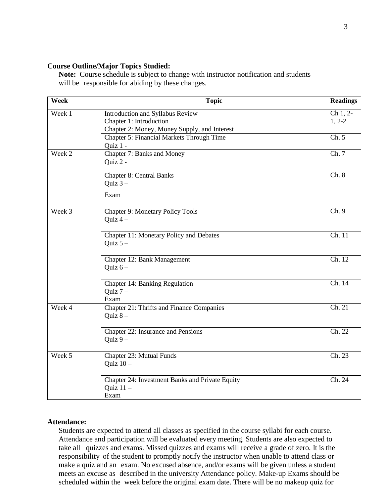#### **Course Outline/Major Topics Studied:**

**Note:** Course schedule is subject to change with instructor notification and students will be responsible for abiding by these changes.

| Week   | <b>Topic</b>                                                                                                | <b>Readings</b>      |
|--------|-------------------------------------------------------------------------------------------------------------|----------------------|
| Week 1 | Introduction and Syllabus Review<br>Chapter 1: Introduction<br>Chapter 2: Money, Money Supply, and Interest | Ch 1, 2-<br>$1, 2-2$ |
|        | Chapter 5: Financial Markets Through Time<br>Quiz 1 -                                                       | $\overline{Ch. 5}$   |
| Week 2 | Chapter 7: Banks and Money<br>Quiz 2 -                                                                      | $\overline{Ch}$ . 7  |
|        | <b>Chapter 8: Central Banks</b><br>Quiz $3-$                                                                | Ch. 8                |
|        | Exam                                                                                                        |                      |
| Week 3 | <b>Chapter 9: Monetary Policy Tools</b><br>Quiz $4-$                                                        | Ch.9                 |
|        | Chapter 11: Monetary Policy and Debates<br>Quiz $5-$                                                        | Ch. 11               |
|        | Chapter 12: Bank Management<br>Quiz $6-$                                                                    | $\overline{Ch. 12}$  |
|        | Chapter 14: Banking Regulation<br>Quiz $7-$<br>Exam                                                         | Ch. 14               |
| Week 4 | <b>Chapter 21: Thrifts and Finance Companies</b><br>Quiz $8-$                                               | Ch. 21               |
|        | Chapter 22: Insurance and Pensions<br>Quiz $9-$                                                             | Ch. 22               |
| Week 5 | Chapter 23: Mutual Funds<br>Quiz $10-$                                                                      | Ch. 23               |
|        | Chapter 24: Investment Banks and Private Equity<br>Quiz $11 -$<br>Exam                                      | Ch. 24               |

### **Attendance:**

Students are expected to attend all classes as specified in the course syllabi for each course. Attendance and participation will be evaluated every meeting. Students are also expected to take all quizzes and exams. Missed quizzes and exams will receive a grade of zero. It is the responsibility of the student to promptly notify the instructor when unable to attend class or make a quiz and an exam. No excused absence, and/or exams will be given unless a student meets an excuse as described in the university Attendance policy. Make-up Exams should be scheduled within the week before the original exam date. There will be no makeup quiz for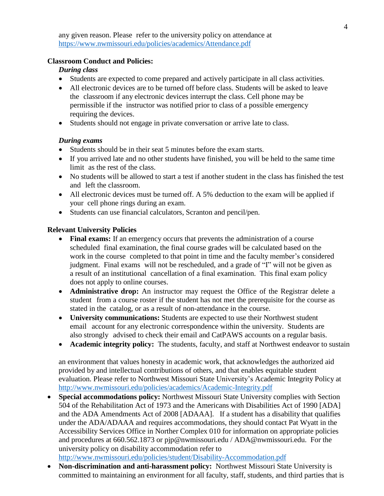any given reason. Please refer to the university policy on attendance at <https://www.nwmissouri.edu/policies/academics/Attendance.pdf>

#### **Classroom Conduct and Policies:**

### *During class*

- Students are expected to come prepared and actively participate in all class activities.
- All electronic devices are to be turned off before class. Students will be asked to leave the classroom if any electronic devices interrupt the class. Cell phone may be permissible if the instructor was notified prior to class of a possible emergency requiring the devices.
- Students should not engage in private conversation or arrive late to class.

### *During exams*

- Students should be in their seat 5 minutes before the exam starts.
- If you arrived late and no other students have finished, you will be held to the same time limit as the rest of the class.
- No students will be allowed to start a test if another student in the class has finished the test and left the classroom.
- All electronic devices must be turned off. A 5% deduction to the exam will be applied if your cell phone rings during an exam.
- Students can use financial calculators, Scranton and pencil/pen.

## **Relevant University Policies**

- **Final exams:** If an emergency occurs that prevents the administration of a course scheduled final examination, the final course grades will be calculated based on the work in the course completed to that point in time and the faculty member's considered judgment. Final exams will not be rescheduled, and a grade of "I" will not be given as a result of an institutional cancellation of a final examination. This final exam policy does not apply to online courses.
- **Administrative drop:** An instructor may request the Office of the Registrar delete a student from a course roster if the student has not met the prerequisite for the course as stated in the catalog, or as a result of non-attendance in the course.
- **University communications:** Students are expected to use their Northwest student email account for any electronic correspondence within the university. Students are also strongly advised to check their email and CatPAWS accounts on a regular basis.
- Academic integrity policy: The students, faculty, and staff at Northwest endeavor to sustain

an environment that values honesty in academic work, that acknowledges the authorized aid provided by and intellectual contributions of others, and that enables equitable student evaluation. Please refer to Northwest Missouri State University's Academic Integrity Policy at <http://www.nwmissouri.edu/policies/academics/Academic-Integrity.pdf>

- **Special accommodations policy:** Northwest Missouri State University complies with Section 504 of the Rehabilitation Act of 1973 and the Americans with Disabilities Act of 1990 [ADA] and the ADA Amendments Act of 2008 [ADAAA]. If a student has a disability that qualifies under the ADA/ADAAA and requires accommodations, they should contact Pat Wyatt in the Accessibility Services Office in Norther Complex 010 for information on appropriate policies and procedures at 660.562.1873 or [pjp@nwmissouri.edu](mailto:pjp@nwmissouri.edu) / [ADA@nwmissouri.edu.](mailto:ADA@nwmissouri.edu) For the university policy on disability accommodation refer to <http://www.nwmissouri.edu/policies/student/Disability-Accommodation.pdf>
- **Non-discrimination and anti-harassment policy:** Northwest Missouri State University is committed to maintaining an environment for all faculty, staff, students, and third parties that is